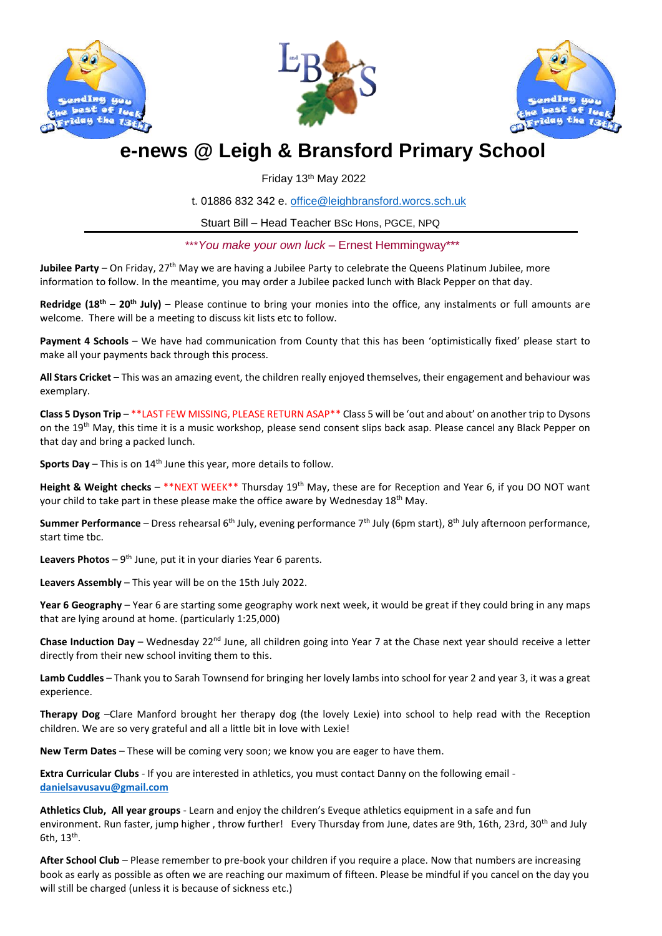





# **e-news @ Leigh & Bransford Primary School**

Friday 13th May 2022

t. 01886 832 342 e. [office@leighbransford.worcs.sch.uk](mailto:office@leighbransford.worcs.sch.uk)

Stuart Bill – Head Teacher BSc Hons, PGCE, NPQ

\*\*\**You make your own luck* – Ernest Hemmingway\*\*\*

**Jubilee Party** – On Friday, 27<sup>th</sup> May we are having a Jubilee Party to celebrate the Queens Platinum Jubilee, more information to follow. In the meantime, you may order a Jubilee packed lunch with Black Pepper on that day.

**Redridge (18th – 20th July) –** Please continue to bring your monies into the office, any instalments or full amounts are welcome. There will be a meeting to discuss kit lists etc to follow.

**Payment 4 Schools** – We have had communication from County that this has been 'optimistically fixed' please start to make all your payments back through this process.

**All Stars Cricket –** This was an amazing event, the children really enjoyed themselves, their engagement and behaviour was exemplary.

**Class 5 Dyson Trip** – \*\*LAST FEW MISSING, PLEASE RETURN ASAP\*\* Class 5 will be 'out and about' on another trip to Dysons on the 19<sup>th</sup> May, this time it is a music workshop, please send consent slips back asap. Please cancel any Black Pepper on that day and bring a packed lunch.

**Sports Day** – This is on 14<sup>th</sup> June this year, more details to follow.

Height & Weight checks - \*\*NEXT WEEK\*\* Thursday 19<sup>th</sup> May, these are for Reception and Year 6, if you DO NOT want your child to take part in these please make the office aware by Wednesday 18<sup>th</sup> May.

**Summer Performance** – Dress rehearsal 6th July, evening performance 7th July (6pm start), 8th July afternoon performance, start time tbc.

Leavers Photos - 9<sup>th</sup> June, put it in your diaries Year 6 parents.

**Leavers Assembly** – This year will be on the 15th July 2022.

**Year 6 Geography** – Year 6 are starting some geography work next week, it would be great if they could bring in any maps that are lying around at home. (particularly 1:25,000)

**Chase Induction Day** – Wednesday 22<sup>nd</sup> June, all children going into Year 7 at the Chase next year should receive a letter directly from their new school inviting them to this.

**Lamb Cuddles** – Thank you to Sarah Townsend for bringing her lovely lambs into school for year 2 and year 3, it was a great experience.

**Therapy Dog** –Clare Manford brought her therapy dog (the lovely Lexie) into school to help read with the Reception children. We are so very grateful and all a little bit in love with Lexie!

**New Term Dates** – These will be coming very soon; we know you are eager to have them.

**Extra Curricular Clubs** - If you are interested in athletics, you must contact Danny on the following email **[danielsavusavu@gmail.com](mailto:danielsavusavu@gmail.com)**

**Athletics Club, All year groups** - Learn and enjoy the children's Eveque athletics equipment in a safe and fun environment. Run faster, jump higher, throw further! Every Thursday from June, dates are 9th, 16th, 23rd, 30<sup>th</sup> and July 6th,  $13<sup>th</sup>$ .

**After School Club** – Please remember to pre-book your children if you require a place. Now that numbers are increasing book as early as possible as often we are reaching our maximum of fifteen. Please be mindful if you cancel on the day you will still be charged (unless it is because of sickness etc.)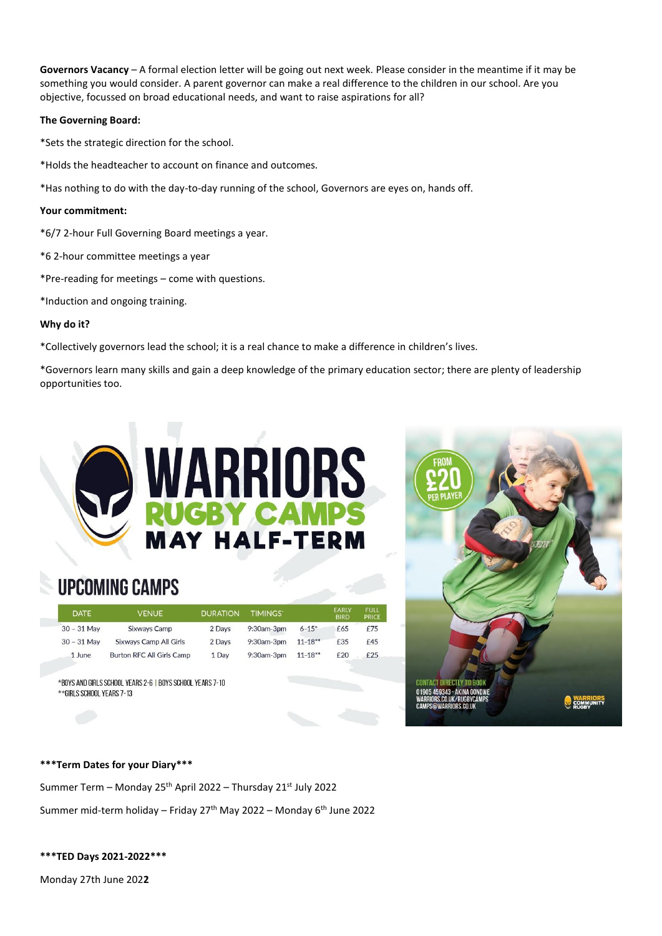**Governors Vacancy** – A formal election letter will be going out next week. Please consider in the meantime if it may be something you would consider. A parent governor can make a real difference to the children in our school. Are you objective, focussed on broad educational needs, and want to raise aspirations for all?

## **The Governing Board:**

\*Sets the strategic direction for the school.

\*Holds the headteacher to account on finance and outcomes.

\*Has nothing to do with the day-to-day running of the school, Governors are eyes on, hands off.

# **Your commitment:**

\*6/7 2-hour Full Governing Board meetings a year.

\*6 2-hour committee meetings a year

\*Pre-reading for meetings – come with questions.

\*Induction and ongoing training.

# **Why do it?**

\*Collectively governors lead the school; it is a real chance to make a difference in children's lives.

\*Governors learn many skills and gain a deep knowledge of the primary education sector; there are plenty of leadership opportunities too.



# **UPCOMING CAMPS**

| <b>DATE</b>   | <b>VENUE</b>                     | <b>DURATION</b> | <b>TIMINGS</b>    |             | <b>EARLY</b><br><b>BIRD</b> | <b>FULL</b><br><b>PRICE</b> |
|---------------|----------------------------------|-----------------|-------------------|-------------|-----------------------------|-----------------------------|
| $30 - 31$ May | <b>Sixways Camp</b>              | 2 Days          | $9:30$ am- $3$ pm | $6 - 15$ *  | £65                         | f75                         |
| $30 - 31$ May | Sixways Camp All Girls           | 2 Days          | $9:30$ am- $3$ pm | $11 - 18**$ | £35                         | £45                         |
| 1 June        | <b>Burton RFC All Girls Camp</b> | 1 Dav           | $9:30$ am- $3$ pm | $11 - 18**$ | £20                         | f25                         |

\*BOYS AND GIRLS SCHOOL YEARS 2-6 | BOYS SCHOOL YEARS 7-10 \*\*GIRLS SCHOOL YEARS 7-13



### **\*\*\*Term Dates for your Diary\*\*\***

Summer Term – Monday 25<sup>th</sup> April 2022 – Thursday 21<sup>st</sup> July 2022

Summer mid-term holiday – Friday  $27<sup>th</sup>$  May 2022 – Monday  $6<sup>th</sup>$  June 2022

**\*\*\*TED Days 2021-2022\*\*\***

Monday 27th June 202**2**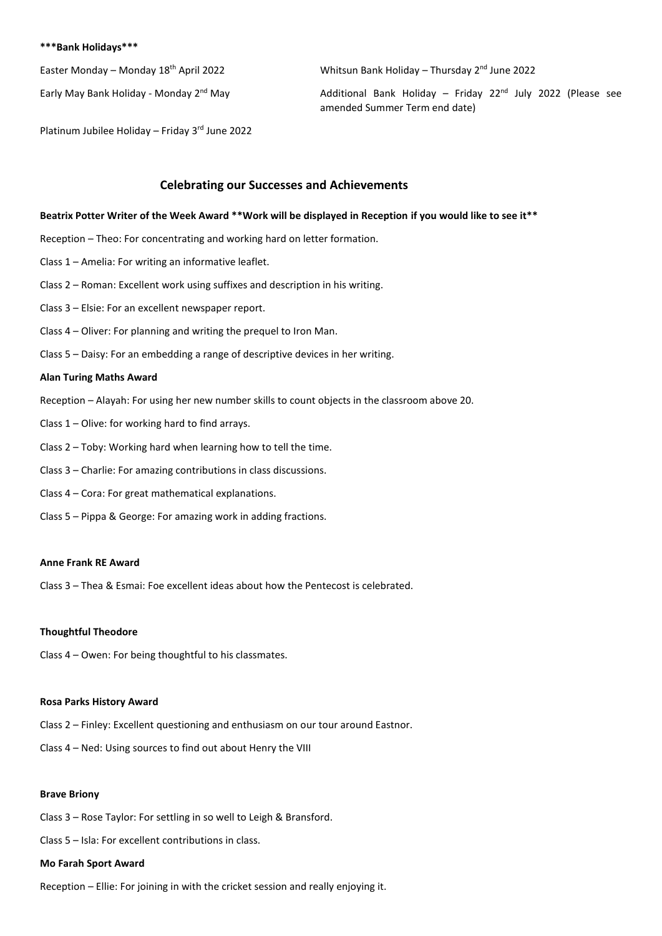#### **\*\*\*Bank Holidays\*\*\***

Easter Monday – Monday 18<sup>th</sup> April 2022 Whitsun Bank Holiday – Thursday 2<sup>nd</sup> June 2022

Early May Bank Holiday - Monday 2<sup>nd</sup> May  $\overline{A}$  Additional Bank Holiday – Friday 22<sup>nd</sup> July 2022 (Please see amended Summer Term end date)

Platinum Jubilee Holiday – Friday 3rd June 2022

# **Celebrating our Successes and Achievements**

# **Beatrix Potter Writer of the Week Award \*\*Work will be displayed in Reception if you would like to see it\*\***

Reception – Theo: For concentrating and working hard on letter formation.

- Class 1 Amelia: For writing an informative leaflet.
- Class 2 Roman: Excellent work using suffixes and description in his writing.
- Class 3 Elsie: For an excellent newspaper report.
- Class 4 Oliver: For planning and writing the prequel to Iron Man.
- Class 5 Daisy: For an embedding a range of descriptive devices in her writing.

#### **Alan Turing Maths Award**

- Reception Alayah: For using her new number skills to count objects in the classroom above 20.
- Class 1 Olive: for working hard to find arrays.
- Class 2 Toby: Working hard when learning how to tell the time.
- Class 3 Charlie: For amazing contributions in class discussions.
- Class 4 Cora: For great mathematical explanations.
- Class 5 Pippa & George: For amazing work in adding fractions.

#### **Anne Frank RE Award**

Class 3 – Thea & Esmai: Foe excellent ideas about how the Pentecost is celebrated.

### **Thoughtful Theodore**

Class 4 – Owen: For being thoughtful to his classmates.

#### **Rosa Parks History Award**

- Class 2 Finley: Excellent questioning and enthusiasm on our tour around Eastnor.
- Class 4 Ned: Using sources to find out about Henry the VIII

### **Brave Briony**

- Class 3 Rose Taylor: For settling in so well to Leigh & Bransford.
- Class 5 Isla: For excellent contributions in class.

#### **Mo Farah Sport Award**

Reception – Ellie: For joining in with the cricket session and really enjoying it.